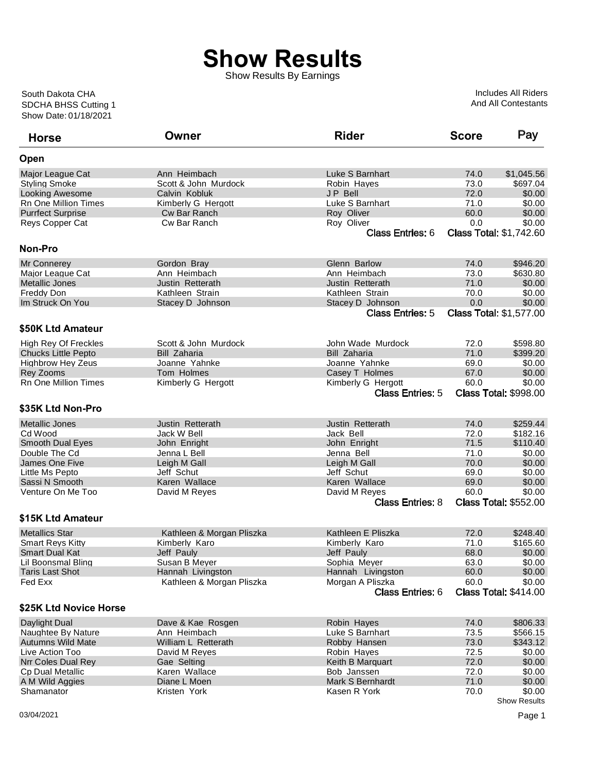## **Show Results**

Show Results By Earnings

Show Date: 01/18/2021 SDCHA BHSS Cutting 1 South Dakota CHA

Includes All Riders And All Contestants

| <b>Horse</b>                | Owner                     | <b>Rider</b>            | <b>Score</b> | Pay                            |
|-----------------------------|---------------------------|-------------------------|--------------|--------------------------------|
| Open                        |                           |                         |              |                                |
| Major League Cat            | Ann Heimbach              | Luke S Barnhart         | 74.0         | \$1,045.56                     |
| <b>Styling Smoke</b>        | Scott & John Murdock      | Robin Hayes             | 73.0         | \$697.04                       |
| <b>Looking Awesome</b>      | Calvin Kobluk             | <b>JP Bell</b>          | 72.0         | \$0.00                         |
| Rn One Million Times        | Kimberly G Hergott        | Luke S Barnhart         | 71.0         | \$0.00                         |
| <b>Purrfect Surprise</b>    | Cw Bar Ranch              | Roy Oliver              | 60.0         | \$0.00                         |
| Reys Copper Cat             | Cw Bar Ranch              | Roy Oliver              | 0.0          | \$0.00                         |
|                             |                           | <b>Class Entries: 6</b> |              | <b>Class Total: \$1,742.60</b> |
| <b>Non-Pro</b>              |                           |                         |              |                                |
| <b>Mr Connerey</b>          | Gordon Bray               | Glenn Barlow            | 74.0         | \$946.20                       |
| Major League Cat            | Ann Heimbach              | Ann Heimbach            | 73.0         | \$630.80                       |
| <b>Metallic Jones</b>       | Justin Retterath          | Justin Retterath        | 71.0         | \$0.00                         |
| Freddy Don                  | Kathleen Strain           | Kathleen Strain         | 70.0         | \$0.00                         |
| Im Struck On You            | Stacey D Johnson          | Stacey D Johnson        | 0.0          | \$0.00                         |
|                             |                           | <b>Class Entries: 5</b> |              | <b>Class Total: \$1,577.00</b> |
| \$50K Ltd Amateur           |                           |                         |              |                                |
| <b>High Rey Of Freckles</b> | Scott & John Murdock      | John Wade Murdock       | 72.0         | \$598.80                       |
| <b>Chucks Little Pepto</b>  | <b>Bill Zaharia</b>       | <b>Bill Zaharia</b>     | 71.0         | \$399.20                       |
| <b>Highbrow Hey Zeus</b>    | Joanne Yahnke             | Joanne Yahnke           | 69.0         | \$0.00                         |
| Rey Zooms                   | Tom Holmes                | Casey T Holmes          | 67.0         | \$0.00                         |
| <b>Rn One Million Times</b> | Kimberly G Hergott        | Kimberly G Hergott      | 60.0         | \$0.00                         |
|                             |                           | <b>Class Entries: 5</b> |              | <b>Class Total: \$998.00</b>   |
| \$35K Ltd Non-Pro           |                           |                         |              |                                |
| <b>Metallic Jones</b>       | Justin Retterath          | Justin Retterath        | 74.0         | \$259.44                       |
| Cd Wood                     | Jack W Bell               | Jack Bell               | 72.0         | \$182.16                       |
| <b>Smooth Dual Eyes</b>     | John Enright              | John Enright            | 71.5         | \$110.40                       |
| Double The Cd               | Jenna L Bell              | Jenna Bell              | 71.0         | \$0.00                         |
|                             |                           |                         |              |                                |
| James One Five              | Leigh M Gall              | Leigh M Gall            | 70.0         | \$0.00                         |
| Little Ms Pepto             | Jeff Schut                | Jeff Schut              | 69.0         | \$0.00                         |
| Sassi N Smooth              | Karen Wallace             | Karen Wallace           | 69.0         | \$0.00                         |
| Venture On Me Too           | David M Reyes             | David M Reyes           | 60.0         | \$0.00                         |
|                             |                           | <b>Class Entries: 8</b> |              | <b>Class Total: \$552.00</b>   |
| \$15K Ltd Amateur           |                           |                         |              |                                |
| <b>Metallics Star</b>       | Kathleen & Morgan Pliszka | Kathleen E Pliszka      | 72.0         | \$248.40                       |
| <b>Smart Reys Kitty</b>     | Kimberly Karo             | Kimberly Karo           | 71.0         | \$165.60                       |
| <b>Smart Dual Kat</b>       | Jeff Pauly                | Jeff Pauly              | 68.0         | \$0.00                         |
| Lil Boonsmal Bling          | Susan B Meyer             | Sophia Meyer            | 63.0         | \$0.00                         |
| <b>Taris Last Shot</b>      | Hannah Livingston         | Hannah Livingston       | 60.0         | \$0.00                         |
| Fed Exx                     | Kathleen & Morgan Pliszka | Morgan A Pliszka        | 60.0         | \$0.00                         |
|                             |                           | <b>Class Entries: 6</b> |              | <b>Class Total: \$414.00</b>   |
| \$25K Ltd Novice Horse      |                           |                         |              |                                |
| Daylight Dual               | Dave & Kae Rosgen         | Robin Hayes             | 74.0         | \$806.33                       |
| Naughtee By Nature          | Ann Heimbach              | Luke S Barnhart         | 73.5         | \$566.15                       |
| <b>Autumns Wild Mate</b>    | William L Retterath       | Robby Hansen            | 73.0         | \$343.12                       |
| Live Action Too             | David M Reyes             | Robin Hayes             | 72.5         | \$0.00                         |
| Nrr Coles Dual Rey          | Gae Selting               | Keith B Marquart        | 72.0         | \$0.00                         |
| <b>Cp Dual Metallic</b>     | Karen Wallace             | Bob Janssen             | 72.0         | \$0.00                         |
| A M Wild Aggies             | Diane L Moen              | Mark S Bernhardt        | 71.0         | \$0.00                         |
| Shamanator                  | Kristen York              | Kasen R York            | 70.0         | \$0.00                         |
|                             |                           |                         |              | <b>Show Results</b>            |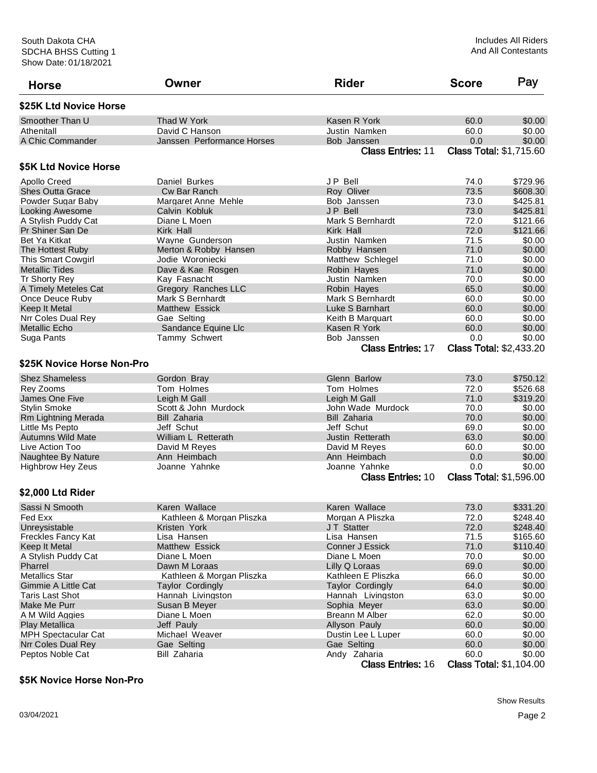| <b>Horse</b>               | Owner                      | <b>Rider</b>             | <b>Score</b>                   | Pay      |
|----------------------------|----------------------------|--------------------------|--------------------------------|----------|
| \$25K Ltd Novice Horse     |                            |                          |                                |          |
| Smoother Than U            | Thad W York                | Kasen R York             | 60.0                           | \$0.00   |
| Athenitall                 | David C Hanson             | Justin Namken            | 60.0                           | \$0.00   |
| A Chic Commander           | Janssen Performance Horses | Bob Janssen              | 0.0                            | \$0.00   |
|                            |                            | <b>Class Entries: 11</b> | <b>Class Total: \$1,715.60</b> |          |
| \$5K Ltd Novice Horse      |                            |                          |                                |          |
| <b>Apollo Creed</b>        | Daniel Burkes              | JP Bell                  | 74.0                           | \$729.96 |
| <b>Shes Outta Grace</b>    | Cw Bar Ranch               | Roy Oliver               | 73.5                           | \$608.30 |
| Powder Sugar Baby          | Margaret Anne Mehle        | Bob Janssen              | 73.0                           | \$425.81 |
| Looking Awesome            | Calvin Kobluk              | JP Bell                  | 73.0                           | \$425.81 |
| A Stylish Puddy Cat        | Diane L Moen               | Mark S Bernhardt         | 72.0                           | \$121.66 |
| Pr Shiner San De           | Kirk Hall                  | Kirk Hall                | 72.0                           | \$121.66 |
| Bet Ya Kitkat              | Wayne Gunderson            | Justin Namken            | 71.5                           | \$0.00   |
| The Hottest Ruby           | Merton & Robby Hansen      | Robby Hansen             | 71.0                           | \$0.00   |
| This Smart Cowgirl         | Jodie Woroniecki           | Matthew Schlegel         | 71.0                           | \$0.00   |
| <b>Metallic Tides</b>      | Dave & Kae Rosgen          | Robin Hayes              | 71.0                           | \$0.00   |
| Tr Shorty Rey              | Kay Fasnacht               | Justin Namken            | 70.0                           | \$0.00   |
| A Timely Meteles Cat       | Gregory Ranches LLC        | Robin Hayes              | 65.0                           | \$0.00   |
| Once Deuce Ruby            | Mark S Bernhardt           | Mark S Bernhardt         | 60.0                           | \$0.00   |
| <b>Keep It Metal</b>       | <b>Matthew Essick</b>      | Luke S Barnhart          | 60.0                           | \$0.00   |
| Nrr Coles Dual Rey         | Gae Selting                | Keith B Marguart         | 60.0                           | \$0.00   |
| <b>Metallic Echo</b>       | Sandance Equine Llc        | Kasen R York             | 60.0                           | \$0.00   |
| Suga Pants                 | Tammy Schwert              | Bob Janssen              | 0.0                            | \$0.00   |
|                            |                            | <b>Class Entries: 17</b> | <b>Class Total: \$2,433.20</b> |          |
| \$25K Novice Horse Non-Pro |                            |                          |                                |          |
| <b>Shez Shameless</b>      | Gordon Bray                | Glenn Barlow             | 73.0                           | \$750.12 |
| Rev Zooms                  | Tom Holmes                 | Tom Holmes               | 72.0                           | \$526.68 |
| James One Five             | Leigh M Gall               | Leigh M Gall             | 71.0                           | \$319.20 |
| <b>Stylin Smoke</b>        | Scott & John Murdock       | John Wade Murdock        | 70.0                           | \$0.00   |
| Rm Lightning Merada        | <b>Bill Zaharia</b>        | <b>Bill Zaharia</b>      | 70.0                           | \$0.00   |
| Little Ms Pepto            | Jeff Schut                 | Jeff Schut               | 69.0                           | \$0.00   |
| <b>Autumns Wild Mate</b>   | William L Retterath        | Justin Retterath         | 63.0                           | \$0.00   |
| Live Action Too            | David M Reyes              | David M Reyes            | 60.0                           | \$0.00   |
| Naughtee By Nature         | Ann Heimbach               | Ann Heimbach             | 0.0                            | \$0.00   |
| <b>Highbrow Hey Zeus</b>   | Joanne Yahnke              | Joanne Yahnke            | 0.0                            | \$0.00   |
|                            |                            | <b>Class Entries: 10</b> | <b>Class Total: \$1,596.00</b> |          |
| \$2,000 Ltd Rider          |                            |                          |                                |          |
| Sassi N Smooth             | Karen Wallace              | Karen Wallace            | 73.0                           | \$331.20 |
| Fed Exx                    | Kathleen & Morgan Pliszka  | Morgan A Pliszka         | 72.0                           | \$248.40 |
| Unreysistable              | Kristen York               | J T Statter              | 72.0                           | \$248.40 |
| Freckles Fancy Kat         | Lisa Hansen                | Lisa Hansen              | 71.5                           | \$165.60 |
| Keep It Metal              | Matthew Essick             | Conner J Essick          | 71.0                           | \$110.40 |
| A Stylish Puddy Cat        | Diane L Moen               | Diane L Moen             | 70.0                           | \$0.00   |
| Pharrel                    | Dawn M Loraas              | Lilly Q Loraas           | 69.0                           | \$0.00   |
| <b>Metallics Star</b>      | Kathleen & Morgan Pliszka  | Kathleen E Pliszka       | 66.0                           | \$0.00   |
| <b>Gimmie A Little Cat</b> | <b>Taylor Cordingly</b>    | <b>Taylor Cordingly</b>  | 64.0                           | \$0.00   |
| Taris Last Shot            | Hannah Livingston          | Hannah Livingston        | 63.0                           | \$0.00   |
| Make Me Purr               | Susan B Meyer              | Sophia Meyer             | 63.0                           | \$0.00   |
| A M Wild Aggies            | Diane L Moen               | Breann M Alber           | 62.0                           | \$0.00   |
| <b>Play Metallica</b>      | Jeff Pauly                 | Allyson Pauly            | 60.0                           | \$0.00   |
| <b>MPH Spectacular Cat</b> | Michael Weaver             | Dustin Lee L Luper       | 60.0                           | \$0.00   |
| Nrr Coles Dual Rey         | Gae Selting                | Gae Selting              | 60.0                           | \$0.00   |
| Peptos Noble Cat           | Bill Zaharia               | Andy Zaharia             | 60.0                           | \$0.00   |

Class Entries: 16 Class Total: \$1,104.00

## **\$5K Novice Horse Non-Pro**